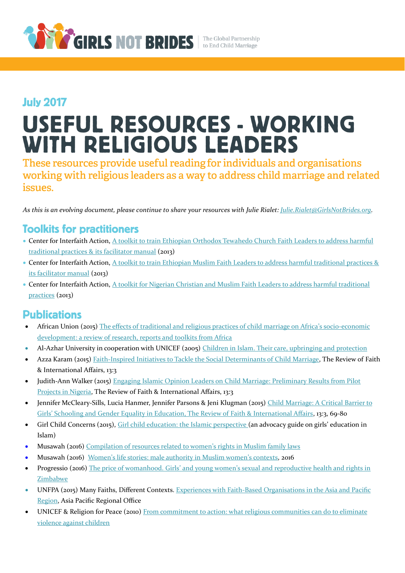

## **July 2017** USEFUL RESOURCES - WORKING **WITH RELIGIOUS LEADERS**

These resources provide useful reading for individuals and organisations working with religious leaders as a way to address child marriage and related issues.

*As this is an evolving document, please continue to share your resources with Julie Rialet[: Julie.Rialet@GirlsNotBrides.org.](mailto:Julie.Rialet@GirlsNotBrides.org)* 

## **Toolkits for practitioners**

- Center for Interfaith Action, [A toolkit to train Ethiopian Orthodox Tewahedo Church Faith Leaders to address harmful](http://www.religionsforpeace.org/sites/default/files/pubications/EOTC%20Faith%20Leader%20Toolkit%20-%20January%202013.pdf)  [traditional practices](http://www.religionsforpeace.org/sites/default/files/pubications/EOTC%20Faith%20Leader%20Toolkit%20-%20January%202013.pdf) & it[s facilitator manual](http://www.thehealthcompass.org/sites/default/files/project_examples/Ethiopia%20-%20EOTC%20Faith%20Leader%20Training%20Manual.pdf) (2013)
- Center for Interfaith Action, A toolkit to train Ethiopian Muslim Faith Leaders to address harmful traditional practices & its [facilitator manual](http://www.thehealthcompass.org/sites/default/files/project_examples/Ethiopia%20-%20Muslim%20Faith%20Leader%20Training%20Manual.pdf) (2013)
- Center for Interfaith Action, [A toolkit for Nigerian Christian and Muslim Faith Leaders to address harmful traditional](https://rfp.org/sites/default/files/pubications/Nigeria%20Early%20Marriage%20Faith%20Leader%20Toolkit%20-%201.28.2013.pdf)  [practices](https://rfp.org/sites/default/files/pubications/Nigeria%20Early%20Marriage%20Faith%20Leader%20Toolkit%20-%201.28.2013.pdf) (2013)

## **Publications**

- African Union (2015) [The effects of traditional and religious practices of child marriage on Africa's socio-economic](http://www.girlsnotbrides.org/reports-and-publications/effects-traditional-religious-practices-child-marriage-africas-socio-economic-development-review-research-reports-toolkits-africa/)  [development: a review of research, reports and toolkits from Africa](http://www.girlsnotbrides.org/reports-and-publications/effects-traditional-religious-practices-child-marriage-africas-socio-economic-development-review-research-reports-toolkits-africa/)
- Al-Azhar University in cooperation with UNICEF (2005) [Children in Islam. Their care, upbringing and protection](https://www.unicef.org/mena/Children_in_Islam_English.pdf)
- Azza Karam (2015) [Faith-Inspired Initiatives to Tackle the Social Determinants of Child Marriage,](http://www.tandfonline.com/doi/abs/10.1080/15570274.2015.1075754) The Review of Faith & International Affairs, 13:3
- Judith-Ann Walker (2015) [Engaging Islamic Opinion Leaders on Child Marriage: Preliminary Results from Pilot](http://www.tandfonline.com/doi/abs/10.1080/15570274.2015.1075760)  [Projects in Nigeria,](http://www.tandfonline.com/doi/abs/10.1080/15570274.2015.1075760) The Review of Faith & International Affairs, 13:3
- Jennifer McCleary-Sills, Lucia Hanmer, Jennifer Parsons & Jeni Klugman (2015) [Child Marriage: A Critical Barrier to](http://www.tandfonline.com/doi/pdf/10.1080/15570274.2015.1075755?needAccess=true)  Girls' Schooling and Gender [Equality in Education, The Review of Faith & International Affairs,](http://www.tandfonline.com/doi/pdf/10.1080/15570274.2015.1075755?needAccess=true) 13:3, 69-80
- Girl Child Concerns (2015), [Girl child education: the Islamic perspective](https://drive.google.com/file/d/0B4KRjd3shF92bzlBN05HUFB6Y1k/view) (an advocacy guide on girls' education in Islam)
- Musawah (2016) [Compilation of resources related to women's rights in Muslim](http://www.musawah.org/sites/default/files/Compilation%20of%20Resources%202016_.pdf) family laws
- Musawah (2016) [Women's life stories: male authority in Muslim women's contexts,](http://www.musawah.org/sites/default/files/MusawahGPL2016.pdf) 2016
- Progressio (2016) The price of womanhood. Girls' and young women's sexual and reproductive health and rights in **[Zimbabwe](http://www.girlsnotbrides.org/reports-and-publications/the-price-of-womanhood-girls-and-young-womens-sexual-and-reproductive-health-and-rights-in-zimbabwe/)**
- UNFPA (2015) Many Faiths, Different Contexts. [Experiences with Faith-Based Organisations in the Asia and Pacific](http://asiapacific.unfpa.org/sites/default/files/pub-pdf/Many%20faiths%20different%20contexts%20FINAL_0.pdf)  [Region,](http://asiapacific.unfpa.org/sites/default/files/pub-pdf/Many%20faiths%20different%20contexts%20FINAL_0.pdf) Asia Pacific Regional Office
- UNICEF & Religion for Peace (2010) [From commitment to action: what religious communities](https://www.unicef.org/protection/What_Religious_Communities_can_do_to_Eliminate_Violence_against_Children__(UNICEF_Religions_for_Peace_Guide).pdf) can do to eliminate [violence against children](https://www.unicef.org/protection/What_Religious_Communities_can_do_to_Eliminate_Violence_against_Children__(UNICEF_Religions_for_Peace_Guide).pdf)